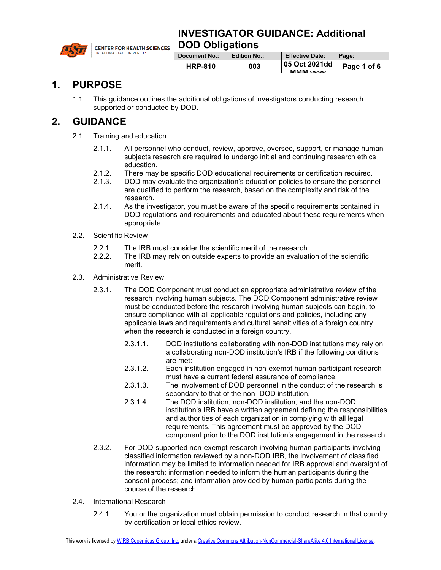## **INVESTIGATOR GUIDANCE: Additional DOD Obligations**



| Document No.:  | <b>Edition No.:</b> | <b>Effective Date:</b>               | Page:       |
|----------------|---------------------|--------------------------------------|-------------|
| <b>HRP-810</b> | 003                 | 05 Oct 2021dd<br><b>BABABA</b> SAAAZ | Page 1 of 6 |
|                |                     |                                      |             |

## **1. PURPOSE**

1.1. This guidance outlines the additional obligations of investigators conducting research supported or conducted by DOD.

# **2. GUIDANCE**

- 2.1. Training and education
	- 2.1.1. All personnel who conduct, review, approve, oversee, support, or manage human subjects research are required to undergo initial and continuing research ethics education.
	- 2.1.2. There may be specific DOD educational requirements or certification required.
	- 2.1.3. DOD may evaluate the organization's education policies to ensure the personnel are qualified to perform the research, based on the complexity and risk of the research.
	- 2.1.4. As the investigator, you must be aware of the specific requirements contained in DOD regulations and requirements and educated about these requirements when appropriate.
- 2.2. Scientific Review
	- 2.2.1. The IRB must consider the scientific merit of the research.
	- 2.2.2. The IRB may rely on outside experts to provide an evaluation of the scientific merit.
- 2.3. Administrative Review
	- 2.3.1. The DOD Component must conduct an appropriate administrative review of the research involving human subjects. The DOD Component administrative review must be conducted before the research involving human subjects can begin, to ensure compliance with all applicable regulations and policies, including any applicable laws and requirements and cultural sensitivities of a foreign country when the research is conducted in a foreign country.
		- 2.3.1.1. DOD institutions collaborating with non-DOD institutions may rely on a collaborating non-DOD institution's IRB if the following conditions are met:
		- 2.3.1.2. Each institution engaged in non-exempt human participant research must have a current federal assurance of compliance.
		- 2.3.1.3. The involvement of DOD personnel in the conduct of the research is secondary to that of the non- DOD institution.
		- 2.3.1.4. The DOD institution, non-DOD institution, and the non-DOD institution's IRB have a written agreement defining the responsibilities and authorities of each organization in complying with all legal requirements. This agreement must be approved by the DOD component prior to the DOD institution's engagement in the research.
	- 2.3.2. For DOD-supported non-exempt research involving human participants involving classified information reviewed by a non-DOD IRB, the involvement of classified information may be limited to information needed for IRB approval and oversight of the research; information needed to inform the human participants during the consent process; and information provided by human participants during the course of the research.
- 2.4. International Research
	- 2.4.1. You or the organization must obtain permission to conduct research in that country by certification or local ethics review.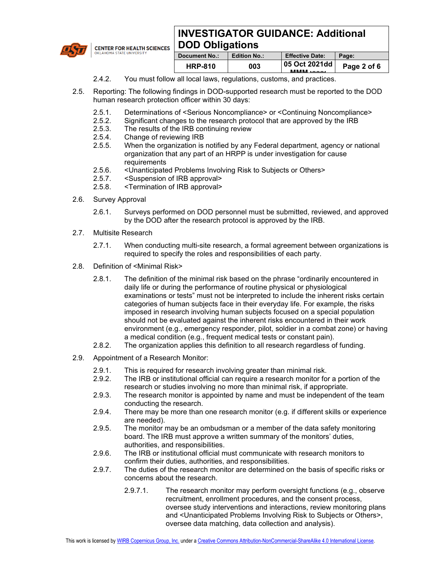## **INVESTIGATOR GUIDANCE: Additional DOD Obligations**



**CENTER FOR HEALTH SCIENCES** 

| Document No.:  | <b>Edition No.:</b> | <b>Effective Date:</b>               | Page:       |
|----------------|---------------------|--------------------------------------|-------------|
| <b>HRP-810</b> | 003                 | 05 Oct 2021dd<br><b>BABABA</b> SAAAL | Page 2 of 6 |
|                |                     |                                      |             |

- 2.4.2. You must follow all local laws, regulations, customs, and practices.
- 2.5. Reporting: The following findings in DOD-supported research must be reported to the DOD human research protection officer within 30 days:
	- 2.5.1. Determinations of <Serious Noncompliance> or <Continuing Noncompliance>
	- 2.5.2. Significant changes to the research protocol that are approved by the IRB<br>2.5.3. The results of the IRB continuing review
	- The results of the IRB continuing review
	- 2.5.4. Change of reviewing IRB
	- 2.5.5. When the organization is notified by any Federal department, agency or national organization that any part of an HRPP is under investigation for cause requirements
	- 2.5.6. < Unanticipated Problems Involving Risk to Subjects or Others><br>2.5.7. < Suspension of IRB approval>
	- 2.5.7. <Suspension of IRB approval>
	- 2.5.8. <Termination of IRB approval>
- 2.6. Survey Approval
	- 2.6.1. Surveys performed on DOD personnel must be submitted, reviewed, and approved by the DOD after the research protocol is approved by the IRB.
- 2.7. Multisite Research
	- 2.7.1. When conducting multi-site research, a formal agreement between organizations is required to specify the roles and responsibilities of each party.
- 2.8. Definition of <Minimal Risk>
	- 2.8.1. The definition of the minimal risk based on the phrase "ordinarily encountered in daily life or during the performance of routine physical or physiological examinations or tests" must not be interpreted to include the inherent risks certain categories of human subjects face in their everyday life. For example, the risks imposed in research involving human subjects focused on a special population should not be evaluated against the inherent risks encountered in their work environment (e.g., emergency responder, pilot, soldier in a combat zone) or having a medical condition (e.g., frequent medical tests or constant pain).
	- 2.8.2. The organization applies this definition to all research regardless of funding.
- 2.9. Appointment of a Research Monitor:
	- 2.9.1. This is required for research involving greater than minimal risk.
	- 2.9.2. The IRB or institutional official can require a research monitor for a portion of the research or studies involving no more than minimal risk, if appropriate.
	- 2.9.3. The research monitor is appointed by name and must be independent of the team conducting the research.
	- 2.9.4. There may be more than one research monitor (e.g. if different skills or experience are needed).
	- 2.9.5. The monitor may be an ombudsman or a member of the data safety monitoring board. The IRB must approve a written summary of the monitors' duties, authorities, and responsibilities.
	- 2.9.6. The IRB or institutional official must communicate with research monitors to confirm their duties, authorities, and responsibilities.
	- 2.9.7. The duties of the research monitor are determined on the basis of specific risks or concerns about the research.
		- 2.9.7.1. The research monitor may perform oversight functions (e.g., observe recruitment, enrollment procedures, and the consent process, oversee study interventions and interactions, review monitoring plans and <Unanticipated Problems Involving Risk to Subjects or Others>, oversee data matching, data collection and analysis).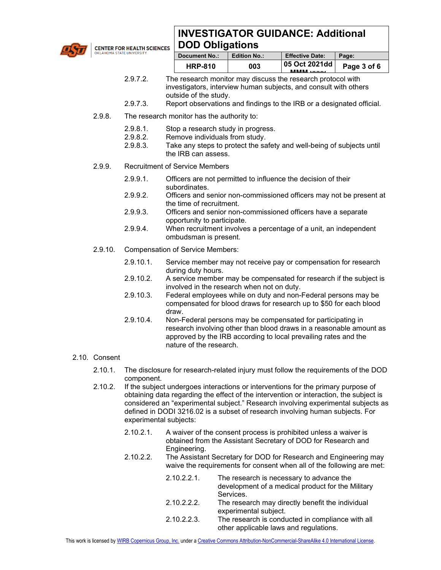

**INVESTIGATOR GUIDANCE: Additional DOD Obligations**

|  | <b>POD ODIIGATOIIS</b> |  |
|--|------------------------|--|
|  | .                      |  |

| <b>Document No.:</b> | <b>Edition No.:</b> | <b>Effective Date:</b>                      | Page:       |
|----------------------|---------------------|---------------------------------------------|-------------|
| <b>HRP-810</b>       | 003                 | 05 Oct 2021dd<br><b>MAMARA</b> <i>Sonne</i> | Page 3 of 6 |
|                      |                     |                                             |             |

- 2.9.7.2. The research monitor may discuss the research protocol with investigators, interview human subjects, and consult with others outside of the study.
- 2.9.7.3. Report observations and findings to the IRB or a designated official.
- 2.9.8. The research monitor has the authority to:
	- 2.9.8.1. Stop a research study in progress.
	- 2.9.8.2. Remove individuals from study.
	- 2.9.8.3. Take any steps to protect the safety and well-being of subjects until the IRB can assess.
- 2.9.9. Recruitment of Service Members

**CENTER FOR HEALTH SCIENCES** 

- 2.9.9.1. Officers are not permitted to influence the decision of their subordinates.
- 2.9.9.2. Officers and senior non-commissioned officers may not be present at the time of recruitment.
- 2.9.9.3. Officers and senior non-commissioned officers have a separate opportunity to participate.
- 2.9.9.4. When recruitment involves a percentage of a unit, an independent ombudsman is present.
- 2.9.10. Compensation of Service Members:
	- 2.9.10.1. Service member may not receive pay or compensation for research during duty hours.
	- 2.9.10.2. A service member may be compensated for research if the subject is involved in the research when not on duty.
	- 2.9.10.3. Federal employees while on duty and non-Federal persons may be compensated for blood draws for research up to \$50 for each blood draw.
	- 2.9.10.4. Non-Federal persons may be compensated for participating in research involving other than blood draws in a reasonable amount as approved by the IRB according to local prevailing rates and the nature of the research.

### 2.10. Consent

- 2.10.1. The disclosure for research-related injury must follow the requirements of the DOD component.
- 2.10.2. If the subject undergoes interactions or interventions for the primary purpose of obtaining data regarding the effect of the intervention or interaction, the subject is considered an "experimental subject." Research involving experimental subjects as defined in DODI 3216.02 is a subset of research involving human subjects. For experimental subjects:
	- 2.10.2.1. A waiver of the consent process is prohibited unless a waiver is obtained from the Assistant Secretary of DOD for Research and Engineering.
	- 2.10.2.2. The Assistant Secretary for DOD for Research and Engineering may waive the requirements for consent when all of the following are met:

| $2.10.2.2.1$ . | The research is necessary to advance the<br>development of a medical product for the Military |
|----------------|-----------------------------------------------------------------------------------------------|
|                | Services.                                                                                     |
| 2.10.2.2.2.    | The research may directly benefit the individual                                              |
|                | experimental subject.                                                                         |
| 2.10.2.2.3.    | The research is conducted in compliance with all                                              |
|                | other applicable laws and regulations.                                                        |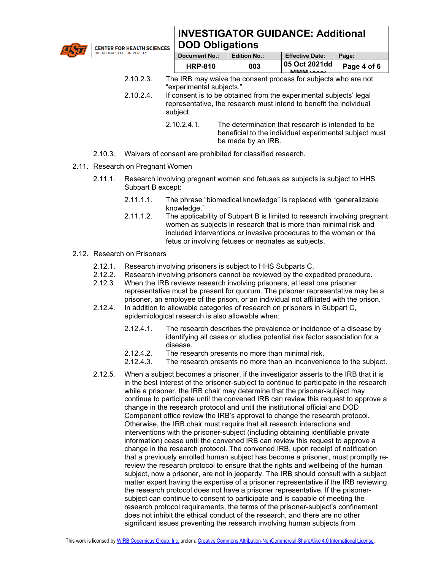

**CENTER FOR HEALTH SCIENCES** 

# **INVESTIGATOR GUIDANCE: Additional DOD Obligations**

| <b>Document No.:</b> | <b>Edition No.:</b> | <b>Effective Date:</b>               | Page:       |
|----------------------|---------------------|--------------------------------------|-------------|
| <b>HRP-810</b>       | 003                 | 05 Oct 2021dd<br><b>BABABA</b> SAAAL | Page 4 of 6 |
|                      |                     |                                      |             |

- 2.10.2.3. The IRB may waive the consent process for subjects who are not "experimental subjects."
- 2.10.2.4. If consent is to be obtained from the experimental subjects' legal representative, the research must intend to benefit the individual subject.
	- 2.10.2.4.1 The determination that research is intended to be beneficial to the individual experimental subject must be made by an IRB.
- 2.10.3. Waivers of consent are prohibited for classified research.
- 2.11. Research on Pregnant Women
	- 2.11.1. Research involving pregnant women and fetuses as subjects is subject to HHS Subpart B except:
		- 2.11.1.1. The phrase "biomedical knowledge" is replaced with "generalizable knowledge."
		- 2.11.1.2. The applicability of Subpart B is limited to research involving pregnant women as subjects in research that is more than minimal risk and included interventions or invasive procedures to the woman or the fetus or involving fetuses or neonates as subjects.
- 2.12. Research on Prisoners
	- 2.12.1. Research involving prisoners is subject to HHS Subparts C.
	- 2.12.2. Research involving prisoners cannot be reviewed by the expedited procedure.
	- 2.12.3. When the IRB reviews research involving prisoners, at least one prisoner representative must be present for quorum. The prisoner representative may be a prisoner, an employee of the prison, or an individual not affiliated with the prison.
	- 2.12.4. In addition to allowable categories of research on prisoners in Subpart C, epidemiological research is also allowable when:
		- 2.12.4.1. The research describes the prevalence or incidence of a disease by identifying all cases or studies potential risk factor association for a disease.
		- 2.12.4.2. The research presents no more than minimal risk.
		- 2.12.4.3. The research presents no more than an inconvenience to the subject.
	- 2.12.5. When a subject becomes a prisoner, if the investigator asserts to the IRB that it is in the best interest of the prisoner-subject to continue to participate in the research while a prisoner, the IRB chair may determine that the prisoner-subject may continue to participate until the convened IRB can review this request to approve a change in the research protocol and until the institutional official and DOD Component office review the IRB's approval to change the research protocol. Otherwise, the IRB chair must require that all research interactions and interventions with the prisoner-subject (including obtaining identifiable private information) cease until the convened IRB can review this request to approve a change in the research protocol. The convened IRB, upon receipt of notification that a previously enrolled human subject has become a prisoner, must promptly rereview the research protocol to ensure that the rights and wellbeing of the human subject, now a prisoner, are not in jeopardy. The IRB should consult with a subject matter expert having the expertise of a prisoner representative if the IRB reviewing the research protocol does not have a prisoner representative. If the prisonersubject can continue to consent to participate and is capable of meeting the research protocol requirements, the terms of the prisoner-subject's confinement does not inhibit the ethical conduct of the research, and there are no other significant issues preventing the research involving human subjects from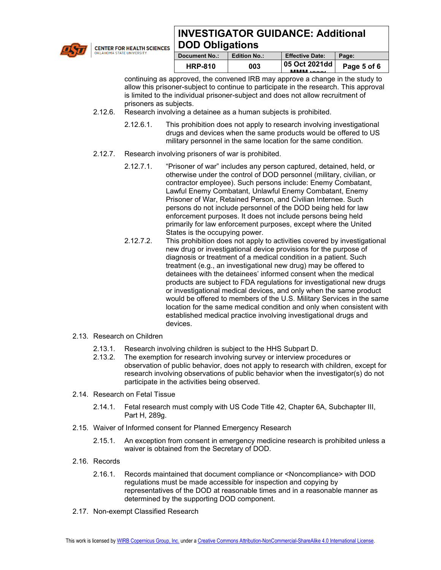

**CENTER FOR HEALTH SCIENCES** 

# **INVESTIGATOR GUIDANCE: Additional DOD Obligations**

| <b>Document No.:</b> | <b>Edition No.:</b> | <b>Effective Date:</b>               | Page:       |
|----------------------|---------------------|--------------------------------------|-------------|
| <b>HRP-810</b>       | 003                 | 05 Oct 2021dd<br><b>BABABA</b> SAAAZ | Page 5 of 6 |
|                      |                     |                                      |             |

continuing as approved, the convened IRB may approve a change in the study to allow this prisoner-subject to continue to participate in the research. This approval is limited to the individual prisoner-subject and does not allow recruitment of prisoners as subjects.

- 2.12.6. Research involving a detainee as a human subjects is prohibited.
	- 2.12.6.1. This prohibition does not apply to research involving investigational drugs and devices when the same products would be offered to US military personnel in the same location for the same condition.
- 2.12.7. Research involving prisoners of war is prohibited.
	- 2.12.7.1. "Prisoner of war" includes any person captured, detained, held, or otherwise under the control of DOD personnel (military, civilian, or contractor employee). Such persons include: Enemy Combatant, Lawful Enemy Combatant, Unlawful Enemy Combatant, Enemy Prisoner of War, Retained Person, and Civilian Internee. Such persons do not include personnel of the DOD being held for law enforcement purposes. It does not include persons being held primarily for law enforcement purposes, except where the United States is the occupying power.
	- 2.12.7.2. This prohibition does not apply to activities covered by investigational new drug or investigational device provisions for the purpose of diagnosis or treatment of a medical condition in a patient. Such treatment (e.g., an investigational new drug) may be offered to detainees with the detainees' informed consent when the medical products are subject to FDA regulations for investigational new drugs or investigational medical devices, and only when the same product would be offered to members of the U.S. Military Services in the same location for the same medical condition and only when consistent with established medical practice involving investigational drugs and devices.
- 2.13. Research on Children
	- 2.13.1. Research involving children is subject to the HHS Subpart D.
	- 2.13.2. The exemption for research involving survey or interview procedures or observation of public behavior, does not apply to research with children, except for research involving observations of public behavior when the investigator(s) do not participate in the activities being observed.
- 2.14. Research on Fetal Tissue
	- 2.14.1. Fetal research must comply with US Code Title 42, Chapter 6A, Subchapter III, Part H, 289g.
- 2.15. Waiver of Informed consent for Planned Emergency Research
	- 2.15.1. An exception from consent in emergency medicine research is prohibited unless a waiver is obtained from the Secretary of DOD.
- 2.16. Records
	- 2.16.1. Records maintained that document compliance or <Noncompliance> with DOD regulations must be made accessible for inspection and copying by representatives of the DOD at reasonable times and in a reasonable manner as determined by the supporting DOD component.
- 2.17. Non-exempt Classified Research